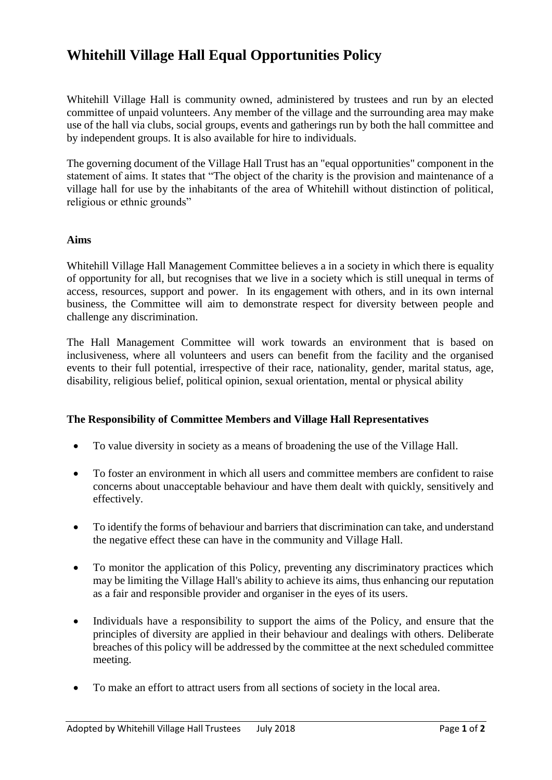# **Whitehill Village Hall Equal Opportunities Policy**

Whitehill Village Hall is community owned, administered by trustees and run by an elected committee of unpaid volunteers. Any member of the village and the surrounding area may make use of the hall via clubs, social groups, events and gatherings run by both the hall committee and by independent groups. It is also available for hire to individuals.

The governing document of the Village Hall Trust has an "equal opportunities" component in the statement of aims. It states that "The object of the charity is the provision and maintenance of a village hall for use by the inhabitants of the area of Whitehill without distinction of political, religious or ethnic grounds"

#### **Aims**

Whitehill Village Hall Management Committee believes a in a society in which there is equality of opportunity for all, but recognises that we live in a society which is still unequal in terms of access, resources, support and power. In its engagement with others, and in its own internal business, the Committee will aim to demonstrate respect for diversity between people and challenge any discrimination.

The Hall Management Committee will work towards an environment that is based on inclusiveness, where all volunteers and users can benefit from the facility and the organised events to their full potential, irrespective of their race, nationality, gender, marital status, age, disability, religious belief, political opinion, sexual orientation, mental or physical ability

#### **The Responsibility of Committee Members and Village Hall Representatives**

- To value diversity in society as a means of broadening the use of the Village Hall.
- To foster an environment in which all users and committee members are confident to raise concerns about unacceptable behaviour and have them dealt with quickly, sensitively and effectively.
- To identify the forms of behaviour and barriers that discrimination can take, and understand the negative effect these can have in the community and Village Hall.
- To monitor the application of this Policy, preventing any discriminatory practices which may be limiting the Village Hall's ability to achieve its aims, thus enhancing our reputation as a fair and responsible provider and organiser in the eyes of its users.
- Individuals have a responsibility to support the aims of the Policy, and ensure that the principles of diversity are applied in their behaviour and dealings with others. Deliberate breaches of this policy will be addressed by the committee at the next scheduled committee meeting.
- To make an effort to attract users from all sections of society in the local area.